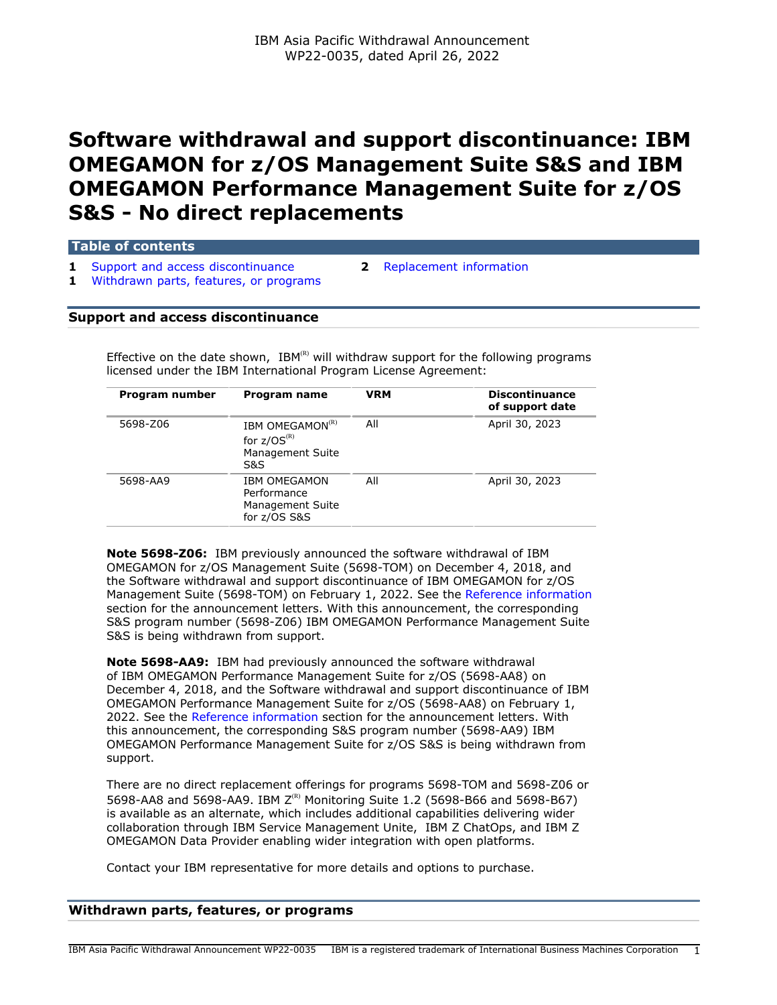# **Software withdrawal and support discontinuance: IBM OMEGAMON for z/OS Management Suite S&S and IBM OMEGAMON Performance Management Suite for z/OS S&S - No direct replacements**

**Table of contents**

**1** [Support and access discontinuance](#page-0-0) **2** [Replacement information](#page-1-0) **1** [Withdrawn parts, features, or programs](#page-0-1)

# <span id="page-0-0"></span>**Support and access discontinuance**

Effective on the date shown,  $IBM^{(R)}$  will withdraw support for the following programs licensed under the IBM International Program License Agreement:

| Program number | Program name                                                               | <b>VRM</b> | <b>Discontinuance</b><br>of support date |  |
|----------------|----------------------------------------------------------------------------|------------|------------------------------------------|--|
| 5698-Z06       | IBM OMEGAMON <sup>(R)</sup><br>for $z/OS^{(R)}$<br>Management Suite<br>S&S | All        | April 30, 2023                           |  |
| 5698-AA9       | <b>IBM OMEGAMON</b><br>Performance<br>Management Suite<br>for z/OS S&S     | All        | April 30, 2023                           |  |
|                |                                                                            |            |                                          |  |

**Note 5698-Z06:** IBM previously announced the software withdrawal of IBM OMEGAMON for z/OS Management Suite (5698-TOM) on December 4, 2018, and the Software withdrawal and support discontinuance of IBM OMEGAMON for z/OS Management Suite (5698-TOM) on February 1, 2022. See the [Reference information](#page-1-1) section for the announcement letters. With this announcement, the corresponding S&S program number (5698-Z06) IBM OMEGAMON Performance Management Suite S&S is being withdrawn from support.

**Note 5698-AA9:** IBM had previously announced the software withdrawal of IBM OMEGAMON Performance Management Suite for z/OS (5698-AA8) on December 4, 2018, and the Software withdrawal and support discontinuance of IBM OMEGAMON Performance Management Suite for z/OS (5698-AA8) on February 1, 2022. See the [Reference information](#page-1-1) section for the announcement letters. With this announcement, the corresponding S&S program number (5698-AA9) IBM OMEGAMON Performance Management Suite for z/OS S&S is being withdrawn from support.

There are no direct replacement offerings for programs 5698-TOM and 5698-Z06 or 5698-AA8 and 5698-AA9. IBM  $Z^{(R)}$  Monitoring Suite 1.2 (5698-B66 and 5698-B67) is available as an alternate, which includes additional capabilities delivering wider collaboration through IBM Service Management Unite, IBM Z ChatOps, and IBM Z OMEGAMON Data Provider enabling wider integration with open platforms.

Contact your IBM representative for more details and options to purchase.

## <span id="page-0-1"></span>**Withdrawn parts, features, or programs**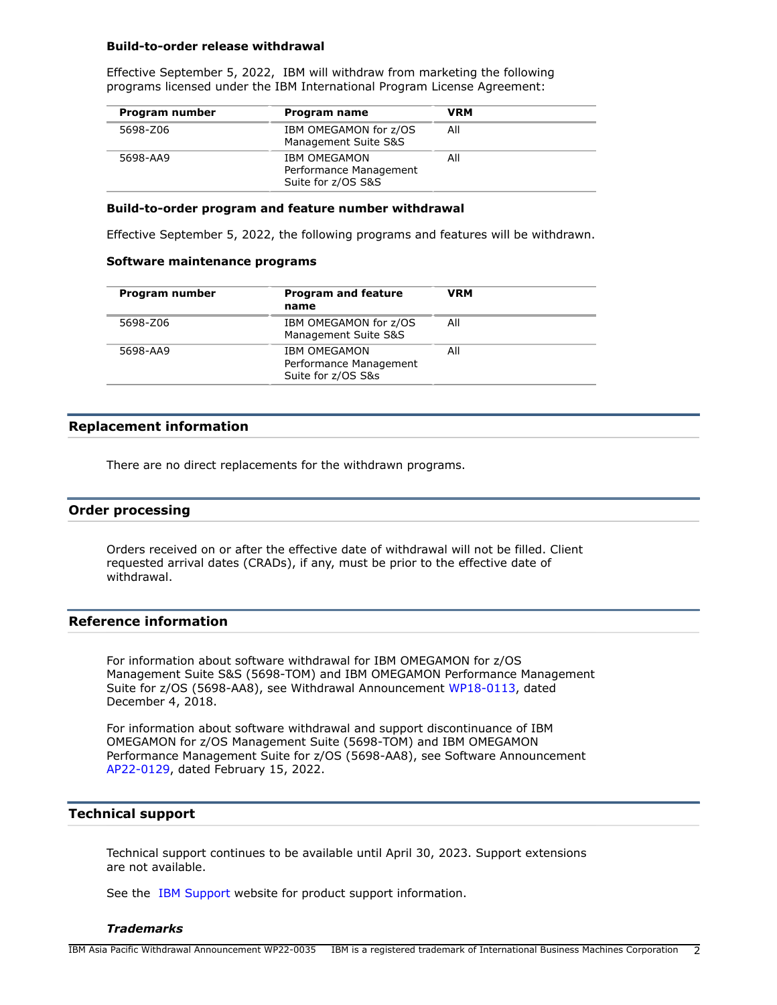#### **Build-to-order release withdrawal**

Effective September 5, 2022, IBM will withdraw from marketing the following programs licensed under the IBM International Program License Agreement:

| Program number | Program name                                                        | <b>VRM</b> |  |
|----------------|---------------------------------------------------------------------|------------|--|
| 5698-Z06       | IBM OMEGAMON for z/OS<br>Management Suite S&S                       | All        |  |
| 5698-AA9       | <b>IBM OMEGAMON</b><br>Performance Management<br>Suite for z/OS S&S | All        |  |

### **Build-to-order program and feature number withdrawal**

Effective September 5, 2022, the following programs and features will be withdrawn.

#### **Software maintenance programs**

| Program number | <b>Program and feature</b><br>name                                  | <b>VRM</b> |
|----------------|---------------------------------------------------------------------|------------|
| 5698-Z06       | IBM OMEGAMON for z/OS<br>Management Suite S&S                       | All        |
| 5698-AA9       | <b>IBM OMEGAMON</b><br>Performance Management<br>Suite for z/OS S&s | All        |

# <span id="page-1-0"></span>**Replacement information**

There are no direct replacements for the withdrawn programs.

## **Order processing**

Orders received on or after the effective date of withdrawal will not be filled. Client requested arrival dates (CRADs), if any, must be prior to the effective date of withdrawal.

# <span id="page-1-1"></span>**Reference information**

For information about software withdrawal for IBM OMEGAMON for z/OS Management Suite S&S (5698-TOM) and IBM OMEGAMON Performance Management Suite for z/OS (5698-AA8), see Withdrawal Announcement [WP18-0113](http://www.ibm.com/common/ssi/cgi-bin/ssialias?infotype=an&subtype=ca&appname=gpateam&supplier=872&letternum=ENUSWP18-0113), dated December 4, 2018.

For information about software withdrawal and support discontinuance of IBM OMEGAMON for z/OS Management Suite (5698-TOM) and IBM OMEGAMON Performance Management Suite for z/OS (5698-AA8), see Software Announcement [AP22-0129,](http://www.ibm.com/common/ssi/cgi-bin/ssialias?infotype=an&subtype=ca&appname=gpateam&supplier=872&letternum=ENUSAP22-0129) dated February 15, 2022.

# **Technical support**

Technical support continues to be available until April 30, 2023. Support extensions are not available.

See the [IBM Support](https://www.ibm.com/support) website for product support information.

### *Trademarks*